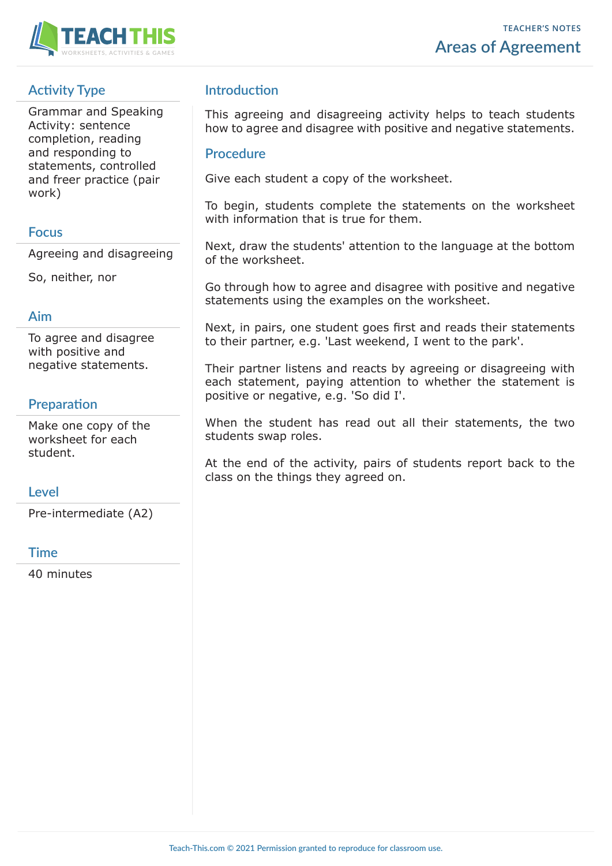

# **Activity Type**

Grammar and Speaking Activity: sentence completion, reading and responding to statements, controlled and freer practice (pair work)

### **Focus**

Agreeing and disagreeing

So, neither, nor

### **Aim**

To agree and disagree with positive and negative statements.

## **Preparation**

Make one copy of the worksheet for each student.

### **Level**

Pre-intermediate (A2)

### **Time**

40 minutes

## **Introduction**

This agreeing and disagreeing activity helps to teach students how to agree and disagree with positive and negative statements.

### **Procedure**

Give each student a copy of the worksheet.

To begin, students complete the statements on the worksheet with information that is true for them.

Next, draw the students' attention to the language at the bottom of the worksheet.

Go through how to agree and disagree with positive and negative statements using the examples on the worksheet.

Next, in pairs, one student goes first and reads their statements to their partner, e.g. 'Last weekend, I went to the park'.

Their partner listens and reacts by agreeing or disagreeing with each statement, paying attention to whether the statement is positive or negative, e.g. 'So did I'.

When the student has read out all their statements, the two students swap roles.

At the end of the activity, pairs of students report back to the class on the things they agreed on.